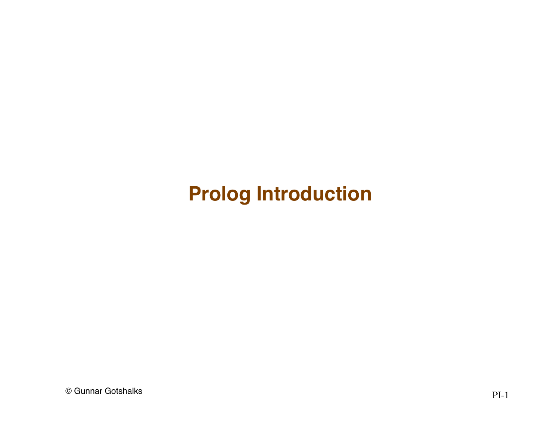#### **Prolog Introduction**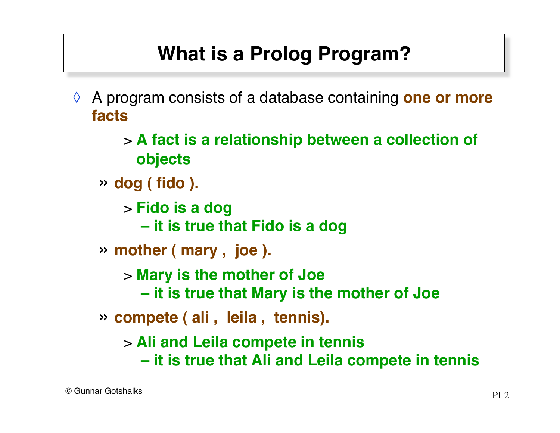# **What is a Prolog Program?**

- ◊ A program consists of a database containing **one or more facts**
	- > **A fact is a relationship between a collection of objects**
	- » **dog ( fido ).**
		- > **Fido is a dog**
			- **it is true that Fido is a dog**
	- » **mother ( mary , joe ).**
		- > **Mary is the mother of Joe**
			- **it is true that Mary is the mother of Joe**
	- » **compete ( ali , leila , tennis).**
		- > **Ali and Leila compete in tennis**
			- **it is true that Ali and Leila compete in tennis**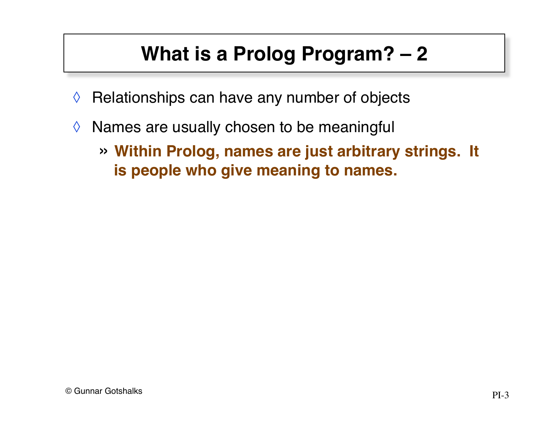# **What is a Prolog Program? – 2**

- $\Diamond$  Relationships can have any number of objects
- $\Diamond$  Names are usually chosen to be meaningful
	- » **Within Prolog, names are just arbitrary strings. It is people who give meaning to names.**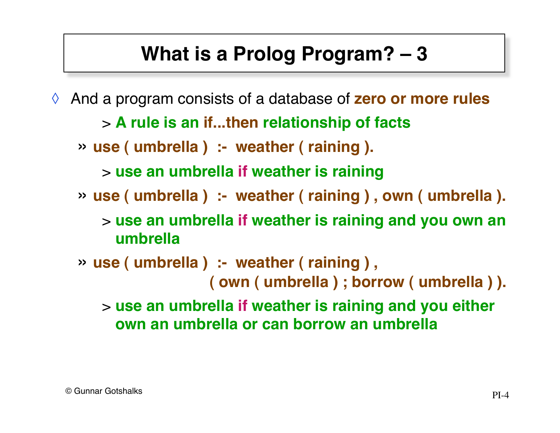## **What is a Prolog Program? – 3**

And a program consists of a database of **zero or more rules** 

> **A rule is an if...then relationship of facts**

» **use ( umbrella ) :- weather ( raining ).**

> **use an umbrella if weather is raining**

» **use ( umbrella ) :- weather ( raining ) , own ( umbrella ).**

> **use an umbrella if weather is raining and you own an umbrella**

» **use ( umbrella ) :- weather ( raining ) , ( own ( umbrella ) ; borrow ( umbrella ) ).**

> **use an umbrella if weather is raining and you either own an umbrella or can borrow an umbrella**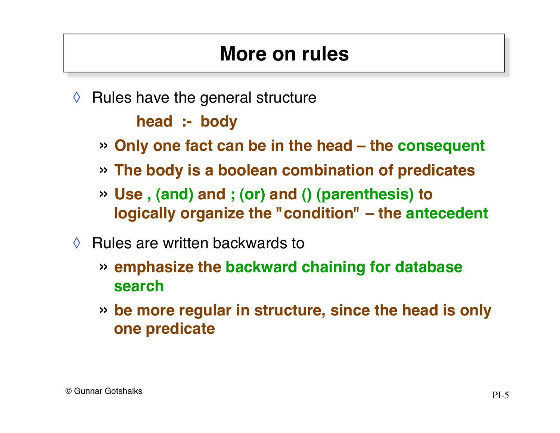#### **More on rules**

- $\Diamond$  Rules have the general structure **head :- body**
	- » **Only one fact can be in the head the consequent**
	- » **The body is a boolean combination of predicates**
	- » **Use , (and) and ; (or) and () (parenthesis) to logically organize the "condition" – the antecedent**
- $\Diamond$  Rules are written backwards to
	- » **emphasize the backward chaining for database search**
	- » **be more regular in structure, since the head is only one predicate**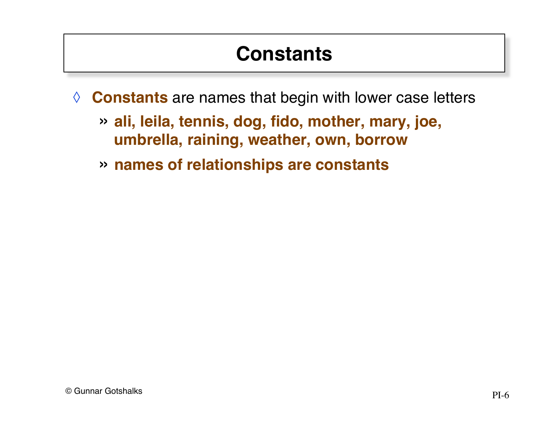#### **Constants**

- ◊ **Constants** are names that begin with lower case letters
	- » **ali, leila, tennis, dog, fido, mother, mary, joe, umbrella, raining, weather, own, borrow**
	- » **names of relationships are constants**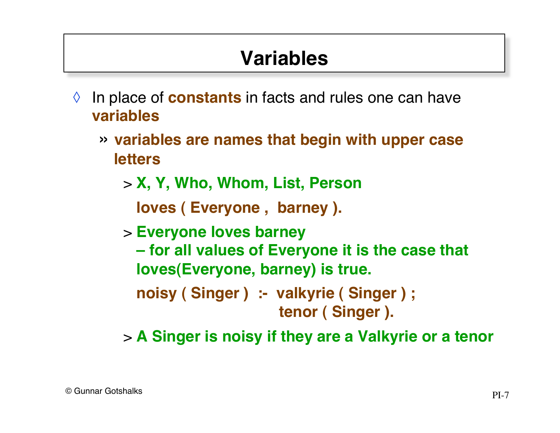## **Variables**

- ◊ In place of **constants** in facts and rules one can have **variables**
	- » **variables are names that begin with upper case letters**
		- > **X, Y, Who, Whom, List, Person**

**loves ( Everyone , barney ).**

> **Everyone loves barney**

**– for all values of Everyone it is the case that loves(Everyone, barney) is true.**

**noisy ( Singer ) :- valkyrie ( Singer ) ; tenor ( Singer ).**

> **A Singer is noisy if they are a Valkyrie or a tenor**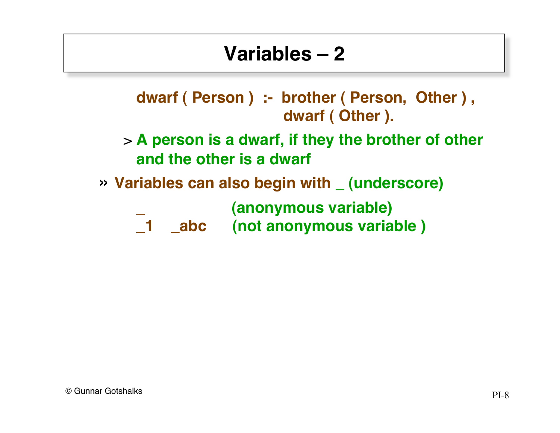#### **Variables – 2**

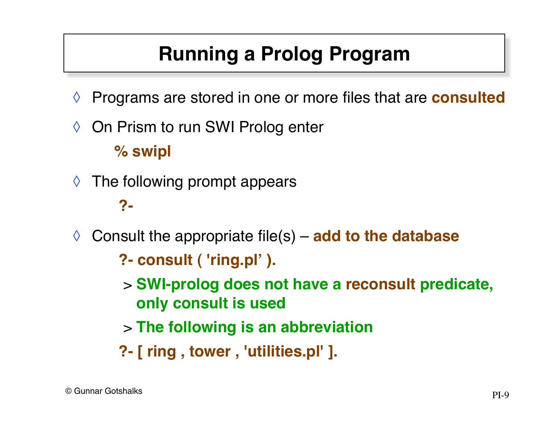# **Running a Prolog Program**

- ◊ Programs are stored in one or more files that are **consulted**
- ◊ On Prism to run SWI Prolog enter **% swipl**
- $\Diamond$  The following prompt appears

#### **?-**

◊ Consult the appropriate file(s) – **add to the database**

**?- consult ( 'ring.pl' ).**

- > **SWI-prolog does not have a reconsult predicate, only consult is used**
- > **The following is an abbreviation**
- **?- [ ring , tower , 'utilities.pl' ].**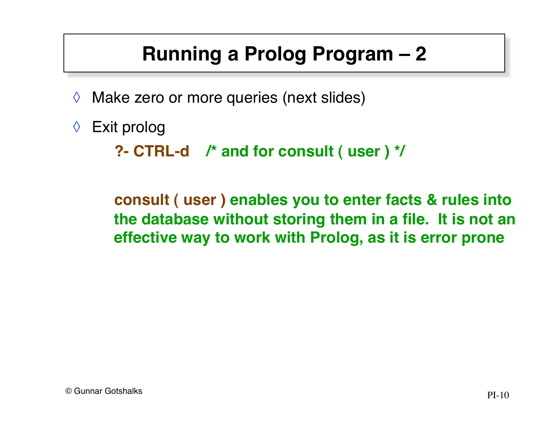# **Running a Prolog Program – 2**

- ◊ Make zero or more queries (next slides)
- ◊ Exit prolog

```
?- CTRL-d /* and for consult ( user ) */
```
**consult ( user ) enables you to enter facts & rules into the database without storing them in a file. It is not an effective way to work with Prolog, as it is error prone**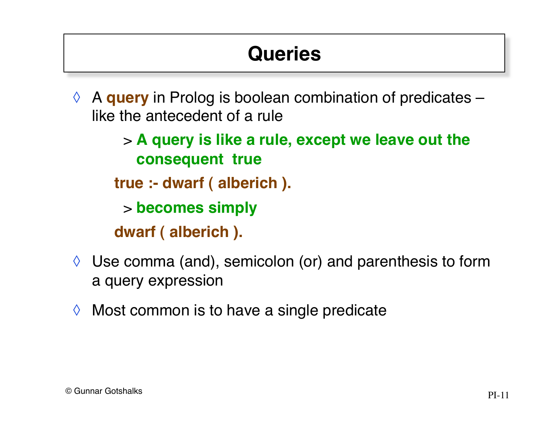# **Queries**

- ◊ A **query** in Prolog is boolean combination of predicates like the antecedent of a rule
	- > **A query is like a rule, except we leave out the consequent true**
	- **true :- dwarf ( alberich ).**
		- > **becomes simply**
	- **dwarf ( alberich ).**
- $\Diamond$  Use comma (and), semicolon (or) and parenthesis to form a query expression
- $\Diamond$  Most common is to have a single predicate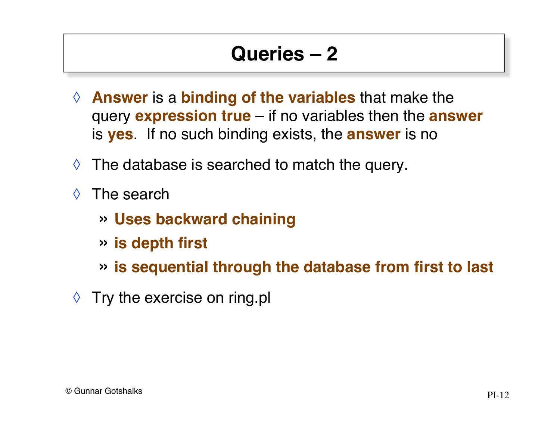#### **Queries – 2**

- ◊ **Answer** is a **binding of the variables** that make the query **expression true** – if no variables then the **answer** is **yes**. If no such binding exists, the **answer** is no
- $\Diamond$  The database is searched to match the query.
- ◊ The search
	- » **Uses backward chaining**
	- » **is depth first**
	- » **is sequential through the database from first to last**
- $\Diamond$  Try the exercise on ring.pl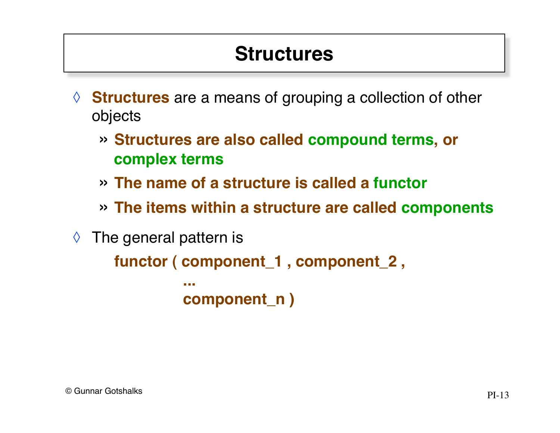#### **Structures**

- ◊ **Structures** are a means of grouping a collection of other objects
	- » **Structures are also called compound terms, or complex terms**
	- » **The name of a structure is called a functor**
	- » **The items within a structure are called components**
- $\Diamond$  The general pattern is

```
functor ( component_1 , component_2 ,
 ...
         component_n )
```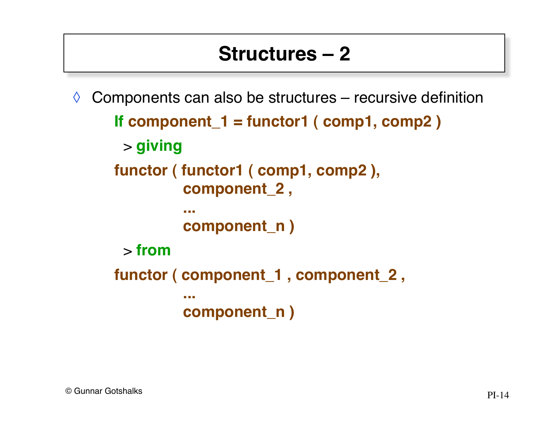#### **Structures – 2**

```
\Diamond Components can also be structures – recursive definition
     If component_1 = functor1 ( comp1, comp2 )
      > giving
     functor ( functor1 ( comp1, comp2 ),
               component_2 ,
      ...
               component_n )
      > from
     functor ( component_1 , component_2 ,
      ...
               component_n )
```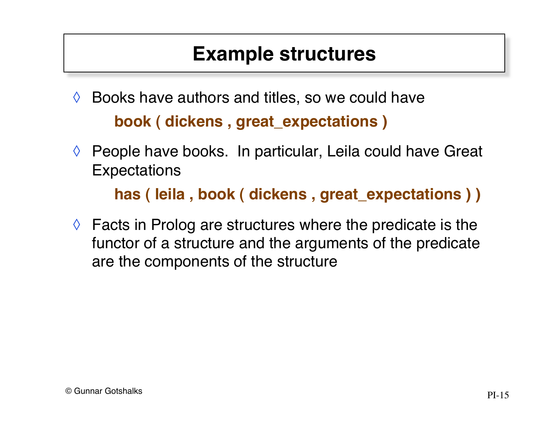#### **Example structures**

- $\Diamond$  Books have authors and titles, so we could have **book ( dickens , great\_expectations )**
- ◊ People have books. In particular, Leila could have Great **Expectations**

**has ( leila , book ( dickens , great\_expectations ) )**

 $\Diamond$  Facts in Prolog are structures where the predicate is the functor of a structure and the arguments of the predicate are the components of the structure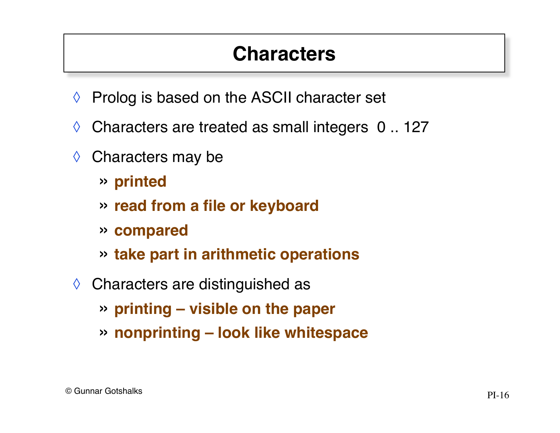#### **Characters**

- ◊ Prolog is based on the ASCII character set
- $\Diamond$  Characters are treated as small integers 0.. 127
- ◊ Characters may be
	- » **printed**
	- » **read from a file or keyboard**
	- » **compared**
	- » **take part in arithmetic operations**
- ◊ Characters are distinguished as
	- » **printing visible on the paper**
	- » **nonprinting look like whitespace**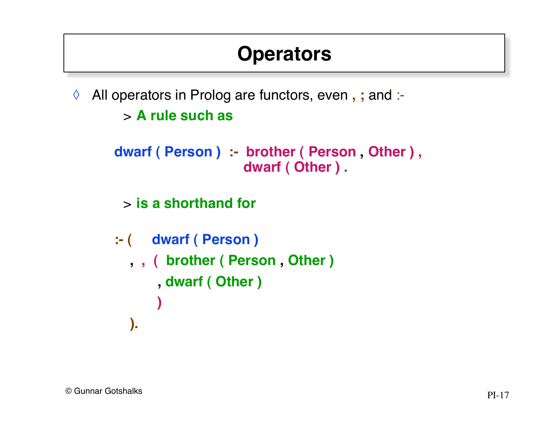#### **Operators**

◊ All operators in Prolog are functors, even **, ;** and :-

```
> A rule such as
```

```
dwarf ( Person ) :- brother ( Person , Other ) ,
                     dwarf ( Other ) .
```
> **is a shorthand for**

```
:- ( dwarf ( Person )
   , , ( brother ( Person , Other )
       , dwarf ( Other )
 )
   ).
```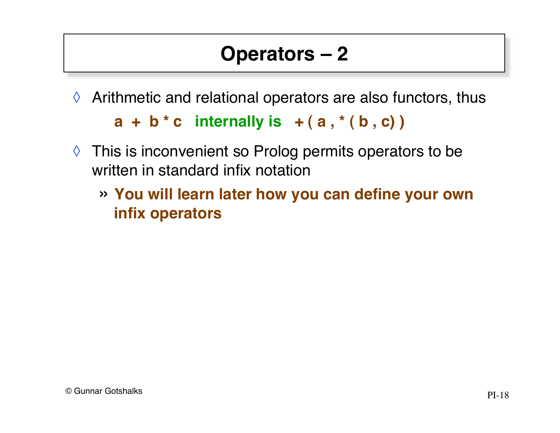# **Operators – 2**

 $\Diamond$  Arithmetic and relational operators are also functors, thus

 $a + b * c$  internally is  $+(a, * (b, c))$ 

- ◊ This is inconvenient so Prolog permits operators to be written in standard infix notation
	- » **You will learn later how you can define your own infix operators**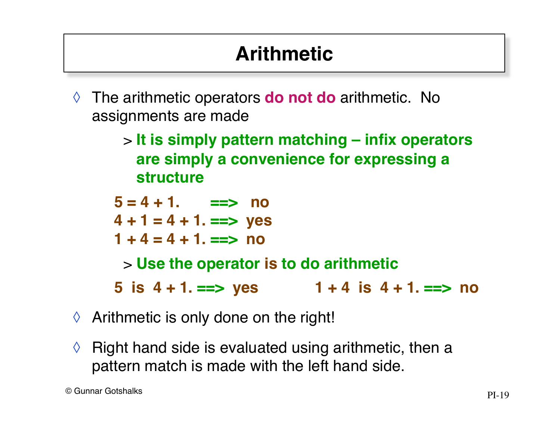# **Arithmetic**

- ◊ The arithmetic operators **do not do** arithmetic. No assignments are made
	- > **It is simply pattern matching infix operators are simply a convenience for expressing a structure**

 $5 = 4 + 1$ .  $==$  no **4 + 1 = 4 + 1. ==> yes**  $1 + 4 = 4 + 1$ . ==> no > **Use the operator is to do arithmetic 5 is 4 + 1. ==> yes 1 + 4 is 4 + 1. ==> no**

- $\Diamond$  Arithmetic is only done on the right!
- $\Diamond$  Right hand side is evaluated using arithmetic, then a pattern match is made with the left hand side.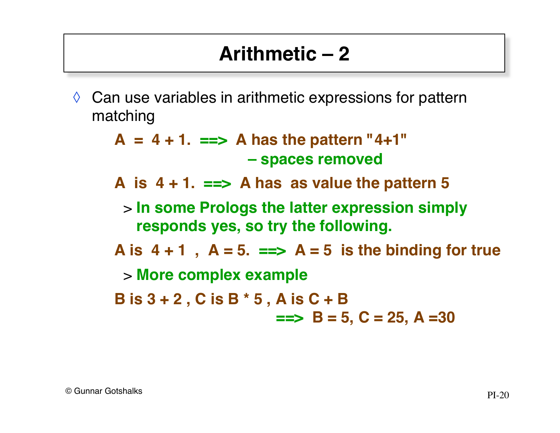#### **Arithmetic – 2**

 $\Diamond$  Can use variables in arithmetic expressions for pattern matching

> $A = 4 + 1$ .  $==> A$  has the pattern "4+1"  **– spaces removed**

**A is 4 + 1. ==> A has as value the pattern 5**

> **In some Prologs the latter expression simply responds yes, so try the following.**

A is  $4 + 1$ ,  $A = 5$ .  $\equiv \Rightarrow A = 5$  is the binding for true

> **More complex example**

**B is 3 + 2 , C is B \* 5 , A is C + B !!!==> B = 5, C = 25, A =30**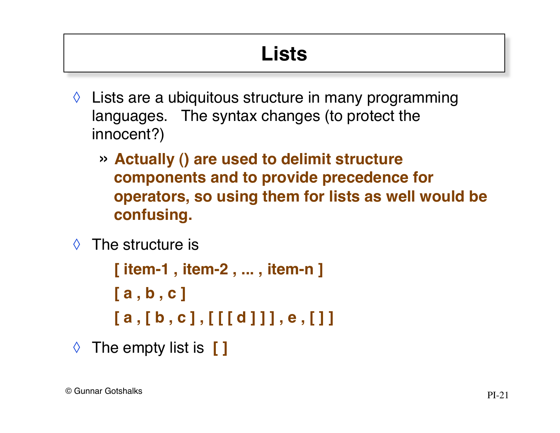# **Lists**

- $\Diamond$  Lists are a ubiquitous structure in many programming languages. The syntax changes (to protect the innocent?)
	- » **Actually () are used to delimit structure components and to provide precedence for operators, so using them for lists as well would be confusing.**
- ◊ The structure is

```
[ item-1 , item-2 , ... , item-n ]
[ a , b , c ]
[ a , [ b , c ] , [ [ [ d ] ] ] , e , [ ] ]
```
◊ The empty list is **[ ]**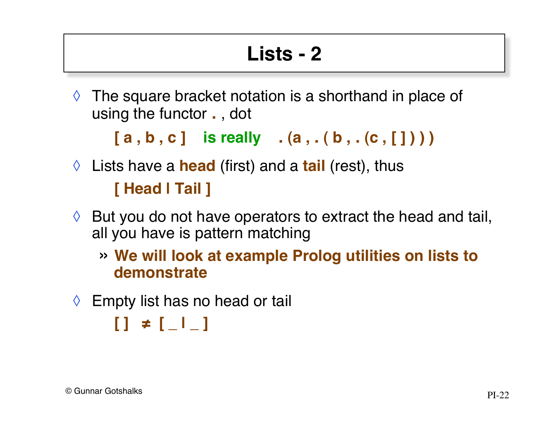# **Lists - 2**

 $\Diamond$  The square bracket notation is a shorthand in place of using the functor **.** , dot

[a, b, c] is really . (a, . (b, . (c, [])))

◊ Lists have a **head** (first) and a **tail** (rest), thus

**[ Head | Tail ]**

- $\Diamond$  But you do not have operators to extract the head and tail, all you have is pattern matching
	- » **We will look at example Prolog utilities on lists to demonstrate**
- $\Diamond$  Empty list has no head or tail

**[ ] ≠ [ \_ | \_ ]**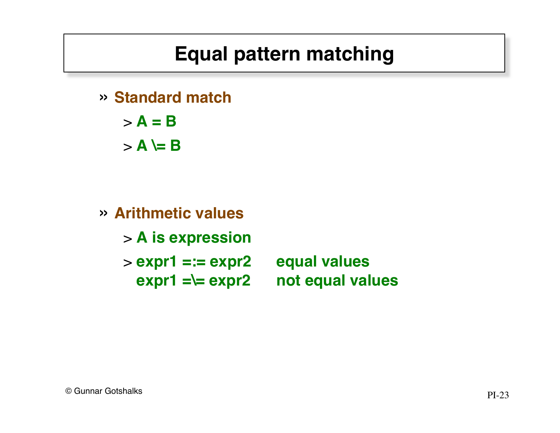## **Equal pattern matching**

» **Standard match**

 $> A = B$ 

 $>$  **A**  $\models$  **B** 

» **Arithmetic values** > **A is expression** > **expr1 =:= expr2 equal values expr1 =\= expr2 not equal values**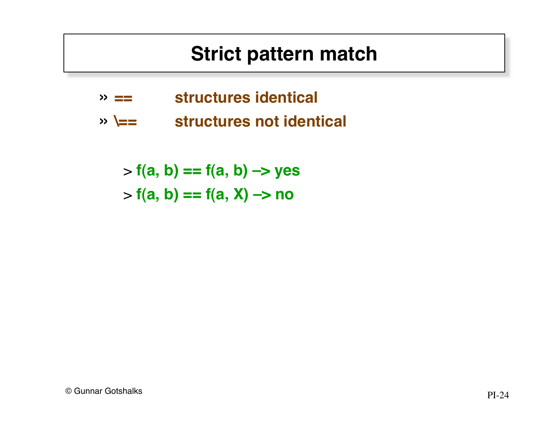#### **Strict pattern match**

- » **== structures identical**
- » **\== structures not identical**

> **f(a, b) == f(a, b) –> yes**  $> f(a, b) == f(a, X) \rightarrow no$